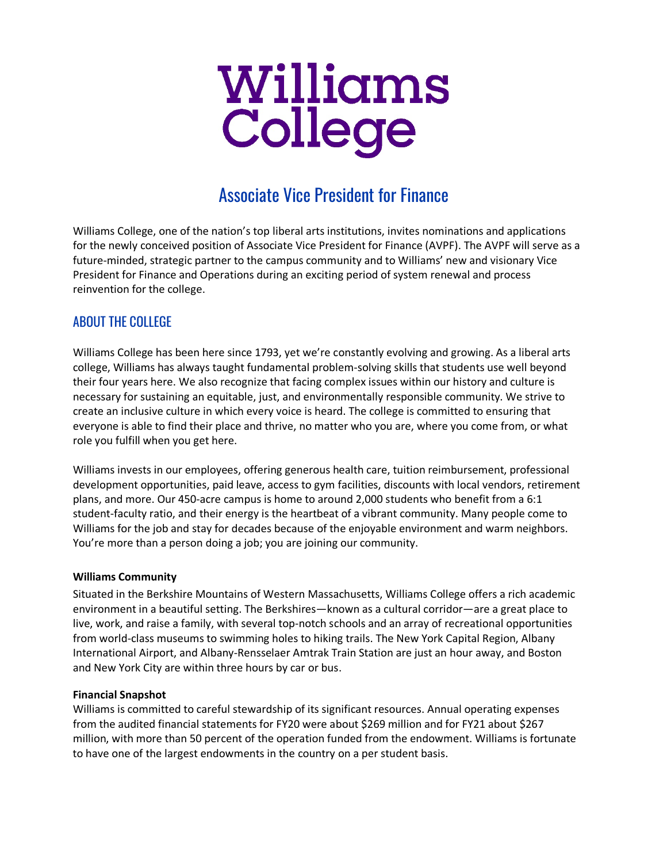# **Williams<br>College**

# Associate Vice President for Finance

Williams College, one of the nation's top liberal arts institutions, invites nominations and applications for the newly conceived position of Associate Vice President for Finance (AVPF). The AVPF will serve as a future-minded, strategic partner to the campus community and to Williams' new and visionary Vice President for Finance and Operations during an exciting period of system renewal and process reinvention for the college.

# ABOUT THE COLLEGE

Williams College has been here since 1793, yet we're constantly evolving and growing. As a liberal arts college, Williams has always taught fundamental problem-solving skills that students use well beyond their four years here. We also recognize that facing complex issues within our history and culture is necessary for sustaining an equitable, just, and environmentally responsible community. We strive to create an inclusive culture in which every voice is heard. The college is committed to ensuring that everyone is able to find their place and thrive, no matter who you are, where you come from, or what role you fulfill when you get here.

Williams invests in our employees, offering generous health care, tuition reimbursement, professional development opportunities, paid leave, access to gym facilities, discounts with local vendors, retirement plans, and more. Our 450-acre campus is home to around 2,000 students who benefit from a 6:1 student-faculty ratio, and their energy is the heartbeat of a vibrant community. Many people come to Williams for the job and stay for decades because of the enjoyable environment and warm neighbors. You're more than a person doing a job; you are joining our community.

# **Williams Community**

Situated in the Berkshire Mountains of Western Massachusetts, Williams College offers a rich academic environment in a beautiful setting. The Berkshires—known as a cultural corridor—are a great place to live, work, and raise a family, with several top-notch schools and an array of recreational opportunities from world-class museums to swimming holes to hiking trails. The New York Capital Region, Albany International Airport, and Albany-Rensselaer Amtrak Train Station are just an hour away, and Boston and New York City are within three hours by car or bus.

# **Financial Snapshot**

Williams is committed to careful stewardship of its significant resources. Annual operating expenses from the audited financial statements for FY20 were about \$269 million and for FY21 about \$267 million, with more than 50 percent of the operation funded from the endowment. Williams is fortunate to have one of the largest endowments in the country on a per student basis.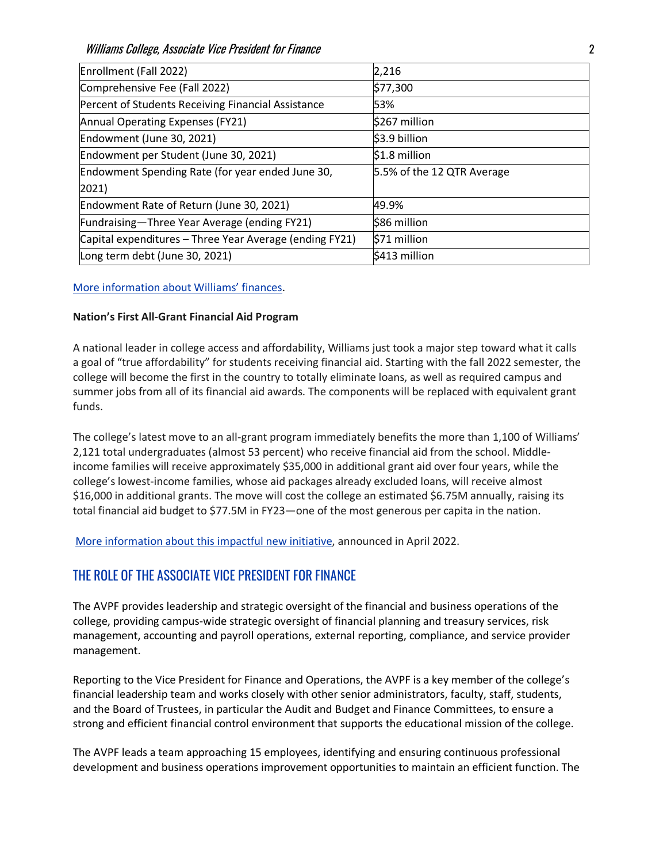Williams College, Associate Vice President for Finance 2

| Enrollment (Fall 2022)                                  | 2,216                      |
|---------------------------------------------------------|----------------------------|
| Comprehensive Fee (Fall 2022)                           | \$77,300                   |
| Percent of Students Receiving Financial Assistance      | 53%                        |
| Annual Operating Expenses (FY21)                        | \$267 million              |
| Endowment (June 30, 2021)                               | \$3.9 billion              |
| Endowment per Student (June 30, 2021)                   | \$1.8 million              |
| Endowment Spending Rate (for year ended June 30,        | 5.5% of the 12 QTR Average |
| $ 2021\rangle$                                          |                            |
| Endowment Rate of Return (June 30, 2021)                | 49.9%                      |
| Fundraising-Three Year Average (ending FY21)            | \$86 million               |
| Capital expenditures – Three Year Average (ending FY21) | \$71 million               |
| Long term debt (June 30, 2021)                          | \$413 million              |

# [More information about Williams' finances.](https://controller.williams.edu/college-financial-statements/)

### **Nation's First All-Grant Financial Aid Program**

A national leader in college access and affordability, Williams just took a major step toward what it calls a goal of "true affordability" for students receiving financial aid. Starting with the fall 2022 semester, the college will become the first in the country to totally eliminate loans, as well as required campus and summer jobs from all of its financial aid awards. The components will be replaced with equivalent grant funds.

The college's latest move to an all-grant program immediately benefits the more than 1,100 of Williams' 2,121 total undergraduates (almost 53 percent) who receive financial aid from the school. Middleincome families will receive approximately \$35,000 in additional grant aid over four years, while the college's lowest-income families, whose aid packages already excluded loans, will receive almost \$16,000 in additional grants. The move will cost the college an estimated \$6.75M annually, raising its total financial aid budget to \$77.5M in FY23—one of the most generous per capita in the nation.

[More information about this impactful new initiative,](https://president.williams.edu/writings-and-remarks/exciting-news-williams-announces-nations-first-all-grant-financial-aid-program/) announced in April 2022.

# THE ROLE OF THE ASSOCIATE VICE PRESIDENT FOR FINANCE

The AVPF provides leadership and strategic oversight of the financial and business operations of the college, providing campus-wide strategic oversight of financial planning and treasury services, risk management, accounting and payroll operations, external reporting, compliance, and service provider management.

Reporting to the Vice President for Finance and Operations, the AVPF is a key member of the college's financial leadership team and works closely with other senior administrators, faculty, staff, students, and the Board of Trustees, in particular the Audit and Budget and Finance Committees, to ensure a strong and efficient financial control environment that supports the educational mission of the college.

The AVPF leads a team approaching 15 employees, identifying and ensuring continuous professional development and business operations improvement opportunities to maintain an efficient function. The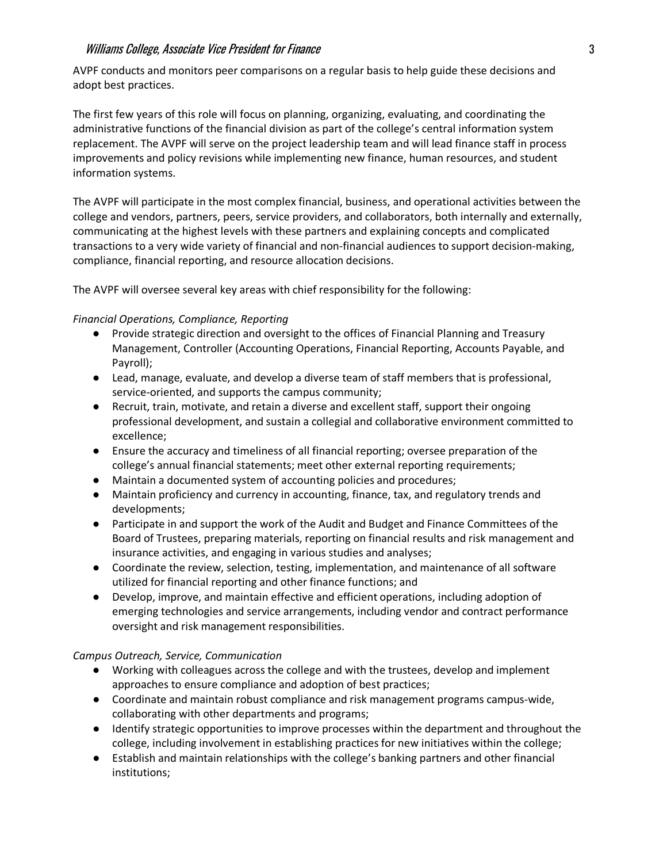AVPF conducts and monitors peer comparisons on a regular basis to help guide these decisions and adopt best practices.

The first few years of this role will focus on planning, organizing, evaluating, and coordinating the administrative functions of the financial division as part of the college's central information system replacement. The AVPF will serve on the project leadership team and will lead finance staff in process improvements and policy revisions while implementing new finance, human resources, and student information systems.

The AVPF will participate in the most complex financial, business, and operational activities between the college and vendors, partners, peers, service providers, and collaborators, both internally and externally, communicating at the highest levels with these partners and explaining concepts and complicated transactions to a very wide variety of financial and non-financial audiences to support decision-making, compliance, financial reporting, and resource allocation decisions.

The AVPF will oversee several key areas with chief responsibility for the following:

# *Financial Operations, Compliance, Reporting*

- Provide strategic direction and oversight to the offices of Financial Planning and Treasury Management, Controller (Accounting Operations, Financial Reporting, Accounts Payable, and Payroll);
- Lead, manage, evaluate, and develop a diverse team of staff members that is professional, service-oriented, and supports the campus community;
- Recruit, train, motivate, and retain a diverse and excellent staff, support their ongoing professional development, and sustain a collegial and collaborative environment committed to excellence;
- Ensure the accuracy and timeliness of all financial reporting; oversee preparation of the college's annual financial statements; meet other external reporting requirements;
- Maintain a documented system of accounting policies and procedures;
- Maintain proficiency and currency in accounting, finance, tax, and regulatory trends and developments;
- Participate in and support the work of the Audit and Budget and Finance Committees of the Board of Trustees, preparing materials, reporting on financial results and risk management and insurance activities, and engaging in various studies and analyses;
- Coordinate the review, selection, testing, implementation, and maintenance of all software utilized for financial reporting and other finance functions; and
- Develop, improve, and maintain effective and efficient operations, including adoption of emerging technologies and service arrangements, including vendor and contract performance oversight and risk management responsibilities.

### *Campus Outreach, Service, Communication*

- Working with colleagues across the college and with the trustees, develop and implement approaches to ensure compliance and adoption of best practices;
- Coordinate and maintain robust compliance and risk management programs campus-wide, collaborating with other departments and programs;
- Identify strategic opportunities to improve processes within the department and throughout the college, including involvement in establishing practices for new initiatives within the college;
- Establish and maintain relationships with the college's banking partners and other financial institutions;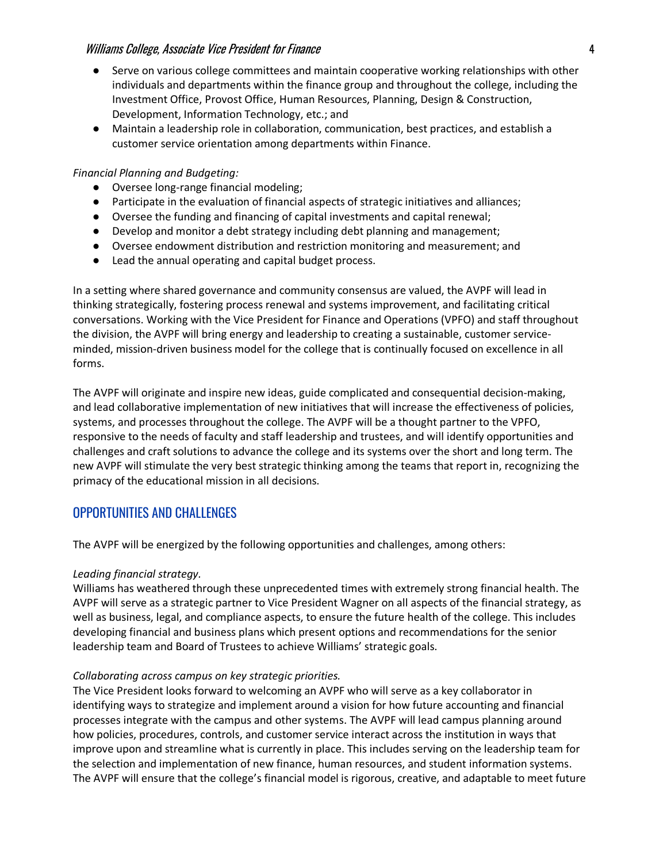- Serve on various college committees and maintain cooperative working relationships with other individuals and departments within the finance group and throughout the college, including the Investment Office, Provost Office, Human Resources, Planning, Design & Construction, Development, Information Technology, etc.; and
- Maintain a leadership role in collaboration, communication, best practices, and establish a customer service orientation among departments within Finance.

# *Financial Planning and Budgeting:*

- Oversee long-range financial modeling;
- Participate in the evaluation of financial aspects of strategic initiatives and alliances;
- Oversee the funding and financing of capital investments and capital renewal;
- Develop and monitor a debt strategy including debt planning and management;
- Oversee endowment distribution and restriction monitoring and measurement; and
- Lead the annual operating and capital budget process.

In a setting where shared governance and community consensus are valued, the AVPF will lead in thinking strategically, fostering process renewal and systems improvement, and facilitating critical conversations. Working with the Vice President for Finance and Operations (VPFO) and staff throughout the division, the AVPF will bring energy and leadership to creating a sustainable, customer serviceminded, mission-driven business model for the college that is continually focused on excellence in all forms.

The AVPF will originate and inspire new ideas, guide complicated and consequential decision-making, and lead collaborative implementation of new initiatives that will increase the effectiveness of policies, systems, and processes throughout the college. The AVPF will be a thought partner to the VPFO, responsive to the needs of faculty and staff leadership and trustees, and will identify opportunities and challenges and craft solutions to advance the college and its systems over the short and long term. The new AVPF will stimulate the very best strategic thinking among the teams that report in, recognizing the primacy of the educational mission in all decisions.

# OPPORTUNITIES AND CHALLENGES

The AVPF will be energized by the following opportunities and challenges, among others:

### *Leading financial strategy.*

Williams has weathered through these unprecedented times with extremely strong financial health. The AVPF will serve as a strategic partner to Vice President Wagner on all aspects of the financial strategy, as well as business, legal, and compliance aspects, to ensure the future health of the college. This includes developing financial and business plans which present options and recommendations for the senior leadership team and Board of Trustees to achieve Williams' strategic goals.

### *Collaborating across campus on key strategic priorities.*

The Vice President looks forward to welcoming an AVPF who will serve as a key collaborator in identifying ways to strategize and implement around a vision for how future accounting and financial processes integrate with the campus and other systems. The AVPF will lead campus planning around how policies, procedures, controls, and customer service interact across the institution in ways that improve upon and streamline what is currently in place. This includes serving on the leadership team for the selection and implementation of new finance, human resources, and student information systems. The AVPF will ensure that the college's financial model is rigorous, creative, and adaptable to meet future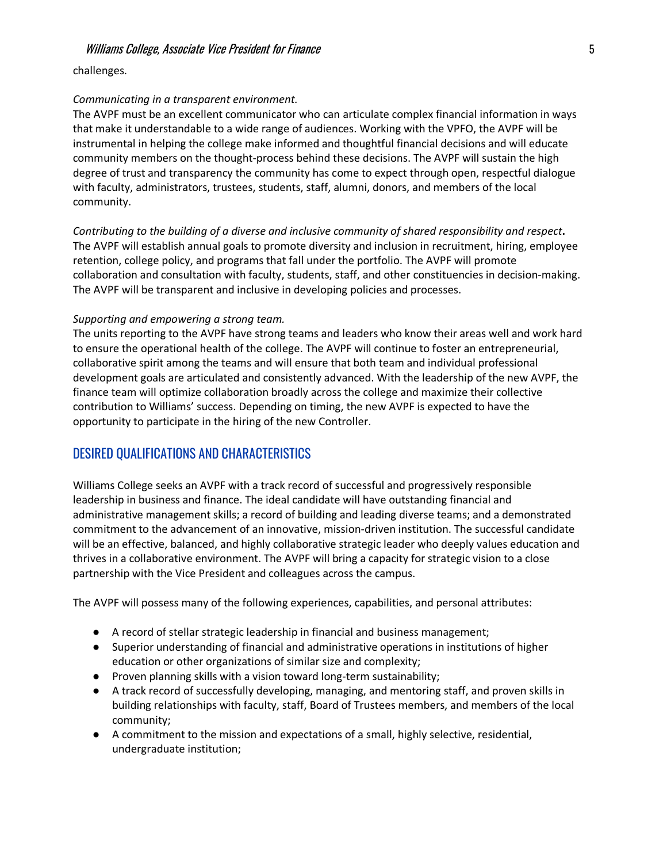challenges.

### *Communicating in a transparent environment.*

The AVPF must be an excellent communicator who can articulate complex financial information in ways that make it understandable to a wide range of audiences. Working with the VPFO, the AVPF will be instrumental in helping the college make informed and thoughtful financial decisions and will educate community members on the thought-process behind these decisions. The AVPF will sustain the high degree of trust and transparency the community has come to expect through open, respectful dialogue with faculty, administrators, trustees, students, staff, alumni, donors, and members of the local community.

*Contributing to the building of a diverse and inclusive community of shared responsibility and respect***.**  The AVPF will establish annual goals to promote diversity and inclusion in recruitment, hiring, employee retention, college policy, and programs that fall under the portfolio. The AVPF will promote collaboration and consultation with faculty, students, staff, and other constituencies in decision-making. The AVPF will be transparent and inclusive in developing policies and processes.

### *Supporting and empowering a strong team.*

The units reporting to the AVPF have strong teams and leaders who know their areas well and work hard to ensure the operational health of the college. The AVPF will continue to foster an entrepreneurial, collaborative spirit among the teams and will ensure that both team and individual professional development goals are articulated and consistently advanced. With the leadership of the new AVPF, the finance team will optimize collaboration broadly across the college and maximize their collective contribution to Williams' success. Depending on timing, the new AVPF is expected to have the opportunity to participate in the hiring of the new Controller.

# DESIRED QUALIFICATIONS AND CHARACTERISTICS

Williams College seeks an AVPF with a track record of successful and progressively responsible leadership in business and finance. The ideal candidate will have outstanding financial and administrative management skills; a record of building and leading diverse teams; and a demonstrated commitment to the advancement of an innovative, mission-driven institution. The successful candidate will be an effective, balanced, and highly collaborative strategic leader who deeply values education and thrives in a collaborative environment. The AVPF will bring a capacity for strategic vision to a close partnership with the Vice President and colleagues across the campus.

The AVPF will possess many of the following experiences, capabilities, and personal attributes:

- A record of stellar strategic leadership in financial and business management;
- Superior understanding of financial and administrative operations in institutions of higher education or other organizations of similar size and complexity;
- Proven planning skills with a vision toward long-term sustainability;
- A track record of successfully developing, managing, and mentoring staff, and proven skills in building relationships with faculty, staff, Board of Trustees members, and members of the local community;
- A commitment to the mission and expectations of a small, highly selective, residential, undergraduate institution;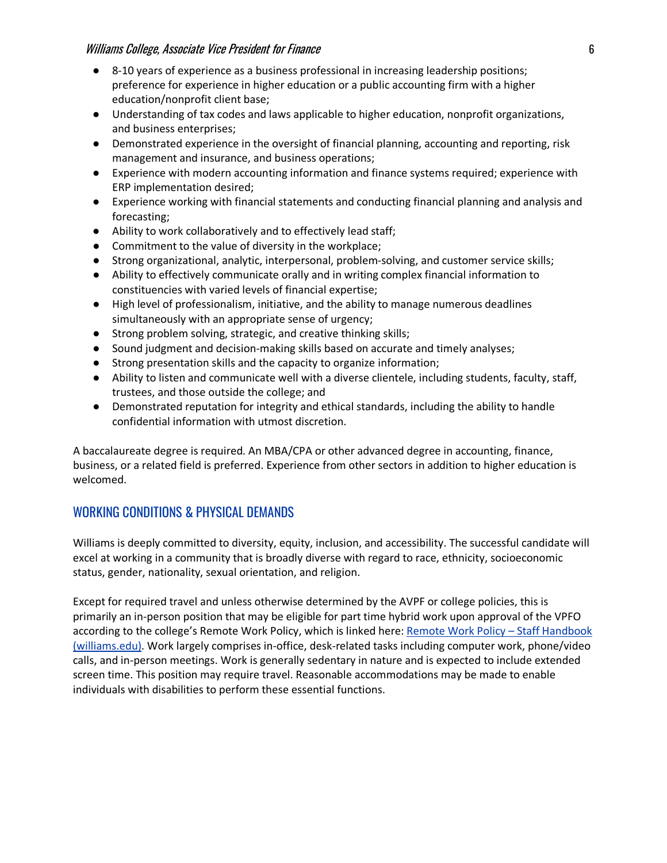- 8-10 years of experience as a business professional in increasing leadership positions; preference for experience in higher education or a public accounting firm with a higher education/nonprofit client base;
- Understanding of tax codes and laws applicable to higher education, nonprofit organizations, and business enterprises;
- Demonstrated experience in the oversight of financial planning, accounting and reporting, risk management and insurance, and business operations;
- Experience with modern accounting information and finance systems required; experience with ERP implementation desired;
- Experience working with financial statements and conducting financial planning and analysis and forecasting;
- Ability to work collaboratively and to effectively lead staff;
- Commitment to the value of diversity in the workplace;
- Strong organizational, analytic, interpersonal, problem-solving, and customer service skills;
- Ability to effectively communicate orally and in writing complex financial information to constituencies with varied levels of financial expertise;
- High level of professionalism, initiative, and the ability to manage numerous deadlines simultaneously with an appropriate sense of urgency;
- Strong problem solving, strategic, and creative thinking skills;
- Sound judgment and decision-making skills based on accurate and timely analyses;
- Strong presentation skills and the capacity to organize information;
- Ability to listen and communicate well with a diverse clientele, including students, faculty, staff, trustees, and those outside the college; and
- Demonstrated reputation for integrity and ethical standards, including the ability to handle confidential information with utmost discretion.

A baccalaureate degree is required. An MBA/CPA or other advanced degree in accounting, finance, business, or a related field is preferred. Experience from other sectors in addition to higher education is welcomed.

# WORKING CONDITIONS & PHYSICAL DEMANDS

Williams is deeply committed to diversity, equity, inclusion, and accessibility. The successful candidate will excel at working in a community that is broadly diverse with regard to race, ethnicity, socioeconomic status, gender, nationality, sexual orientation, and religion.

Except for required travel and unless otherwise determined by the AVPF or college policies, this is primarily an in-person position that may be eligible for part time hybrid work upon approval of the VPFO according to the college's Remote Work Policy, which is linked here: Remote Work Policy - Staff Handbook [\(williams.edu\).](https://handbooks.williams.edu/staff/employment-payroll/employment/telecommuting-policy/) Work largely comprises in-office, desk-related tasks including computer work, phone/video calls, and in-person meetings. Work is generally sedentary in nature and is expected to include extended screen time. This position may require travel. Reasonable accommodations may be made to enable individuals with disabilities to perform these essential functions.